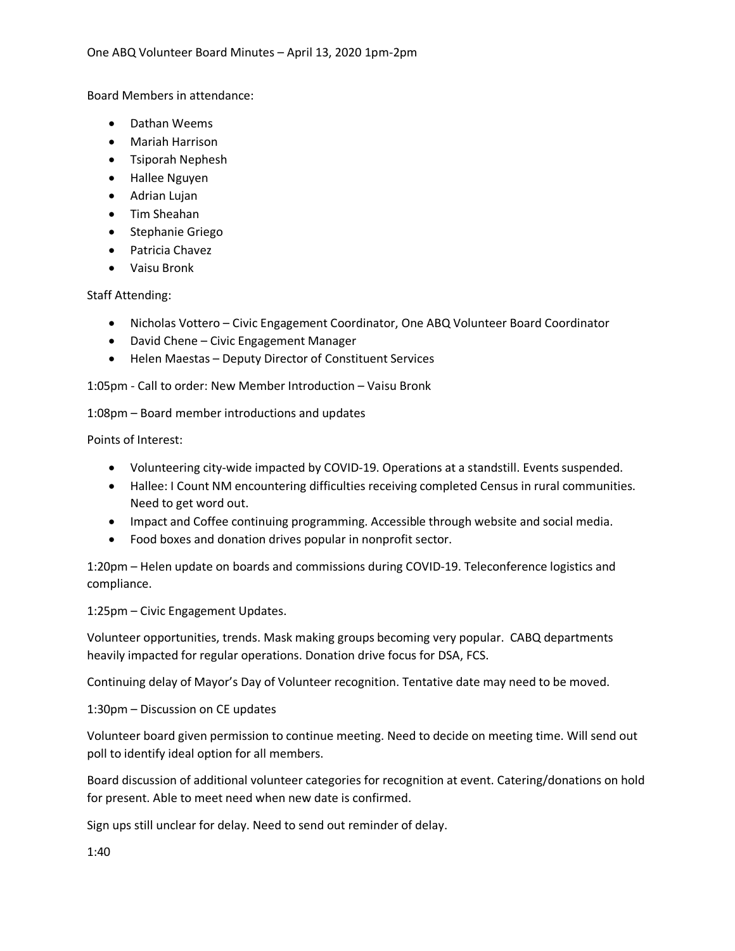Board Members in attendance:

- Dathan Weems
- Mariah Harrison
- Tsiporah Nephesh
- Hallee Nguyen
- Adrian Lujan
- Tim Sheahan
- Stephanie Griego
- Patricia Chavez
- Vaisu Bronk

Staff Attending:

- Nicholas Vottero Civic Engagement Coordinator, One ABQ Volunteer Board Coordinator
- David Chene Civic Engagement Manager
- Helen Maestas Deputy Director of Constituent Services

1:05pm - Call to order: New Member Introduction – Vaisu Bronk

1:08pm – Board member introductions and updates

Points of Interest:

- Volunteering city-wide impacted by COVID-19. Operations at a standstill. Events suspended.
- Hallee: I Count NM encountering difficulties receiving completed Census in rural communities. Need to get word out.
- Impact and Coffee continuing programming. Accessible through website and social media.
- Food boxes and donation drives popular in nonprofit sector.

1:20pm – Helen update on boards and commissions during COVID-19. Teleconference logistics and compliance.

1:25pm – Civic Engagement Updates.

Volunteer opportunities, trends. Mask making groups becoming very popular. CABQ departments heavily impacted for regular operations. Donation drive focus for DSA, FCS.

Continuing delay of Mayor's Day of Volunteer recognition. Tentative date may need to be moved.

1:30pm – Discussion on CE updates

Volunteer board given permission to continue meeting. Need to decide on meeting time. Will send out poll to identify ideal option for all members.

Board discussion of additional volunteer categories for recognition at event. Catering/donations on hold for present. Able to meet need when new date is confirmed.

Sign ups still unclear for delay. Need to send out reminder of delay.

1:40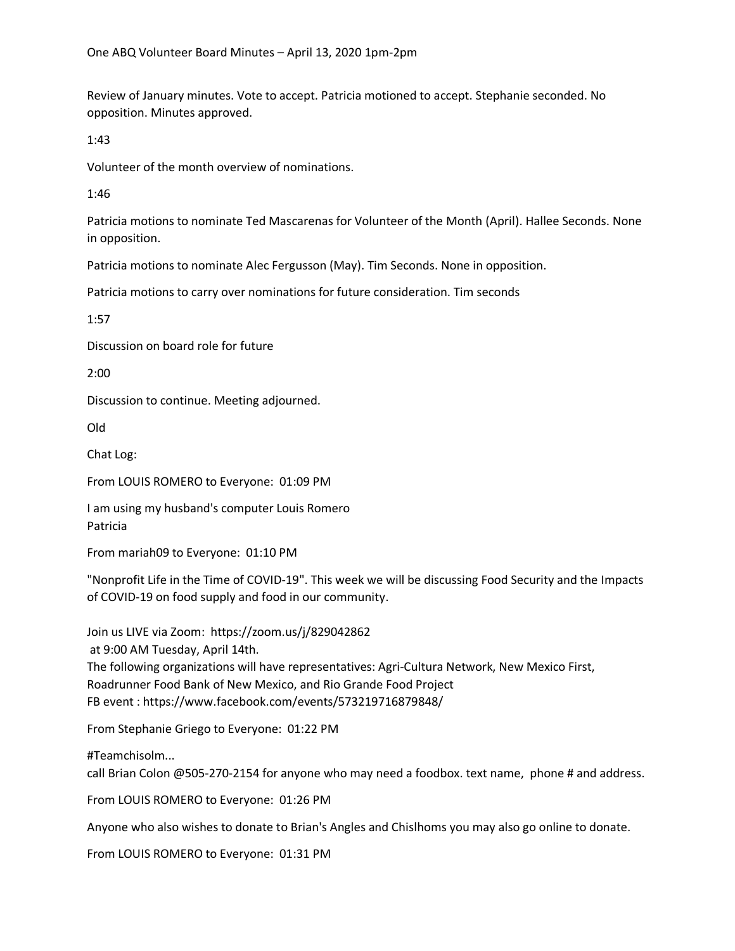Review of January minutes. Vote to accept. Patricia motioned to accept. Stephanie seconded. No opposition. Minutes approved.

1:43

Volunteer of the month overview of nominations.

1:46

Patricia motions to nominate Ted Mascarenas for Volunteer of the Month (April). Hallee Seconds. None in opposition.

Patricia motions to nominate Alec Fergusson (May). Tim Seconds. None in opposition.

Patricia motions to carry over nominations for future consideration. Tim seconds

1:57

Discussion on board role for future

2:00

Discussion to continue. Meeting adjourned.

Old

Chat Log:

From LOUIS ROMERO to Everyone: 01:09 PM

I am using my husband's computer Louis Romero Patricia

From mariah09 to Everyone: 01:10 PM

"Nonprofit Life in the Time of COVID-19". This week we will be discussing Food Security and the Impacts of COVID-19 on food supply and food in our community.

Join us LIVE via Zoom: https://zoom.us/j/829042862 at 9:00 AM Tuesday, April 14th. The following organizations will have representatives: Agri-Cultura Network, New Mexico First, Roadrunner Food Bank of New Mexico, and Rio Grande Food Project FB event : https://www.facebook.com/events/573219716879848/

From Stephanie Griego to Everyone: 01:22 PM

#Teamchisolm... call Brian Colon @505-270-2154 for anyone who may need a foodbox. text name, phone # and address.

From LOUIS ROMERO to Everyone: 01:26 PM

Anyone who also wishes to donate to Brian's Angles and Chislhoms you may also go online to donate.

From LOUIS ROMERO to Everyone: 01:31 PM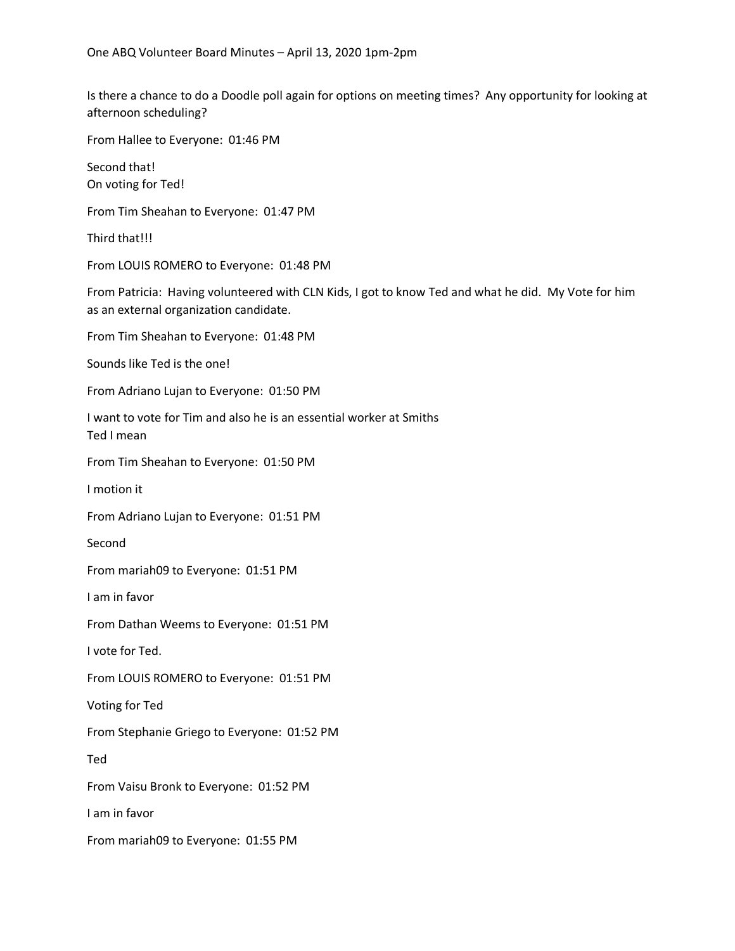Is there a chance to do a Doodle poll again for options on meeting times? Any opportunity for looking at afternoon scheduling?

From Hallee to Everyone: 01:46 PM

Second that! On voting for Ted!

From Tim Sheahan to Everyone: 01:47 PM

Third that!!!

From LOUIS ROMERO to Everyone: 01:48 PM

From Patricia: Having volunteered with CLN Kids, I got to know Ted and what he did. My Vote for him as an external organization candidate.

From Tim Sheahan to Everyone: 01:48 PM

Sounds like Ted is the one!

From Adriano Lujan to Everyone: 01:50 PM

I want to vote for Tim and also he is an essential worker at Smiths Ted I mean

From Tim Sheahan to Everyone: 01:50 PM

I motion it

From Adriano Lujan to Everyone: 01:51 PM

Second

From mariah09 to Everyone: 01:51 PM

I am in favor

From Dathan Weems to Everyone: 01:51 PM

I vote for Ted.

From LOUIS ROMERO to Everyone: 01:51 PM

Voting for Ted

From Stephanie Griego to Everyone: 01:52 PM

Ted

From Vaisu Bronk to Everyone: 01:52 PM

I am in favor

From mariah09 to Everyone: 01:55 PM